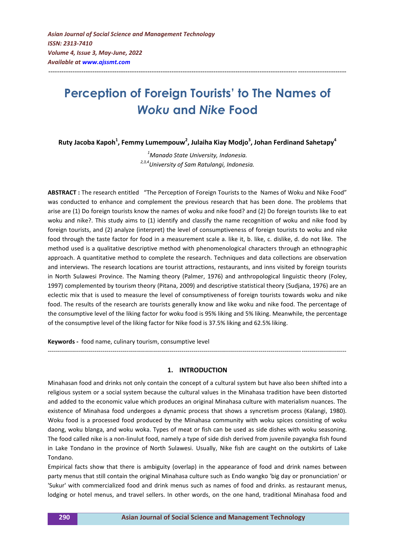# **Perception of Foreign Tourists' to The Names of**  *Woku* **and** *Nike* **Food**

---------------------------------------------------------------------------------------------------------------------------------------

**Ruty Jacoba Kapoh<sup>1</sup> , Femmy Lumempouw<sup>2</sup> , Julaiha Kiay Modjo<sup>3</sup> , Johan Ferdinand Sahetapy<sup>4</sup>**

*<sup>1</sup>Manado State University, Indonesia. 2,3,4University of Sam Ratulangi, Indonesia.*

**ABSTRACT :** The research entitled "The Perception of Foreign Tourists to the Names of Woku and Nike Food" was conducted to enhance and complement the previous research that has been done. The problems that arise are (1) Do foreign tourists know the names of woku and nike food? and (2) Do foreign tourists like to eat woku and nike?. This study aims to (1) identify and classify the name recognition of woku and nike food by foreign tourists, and (2) analyze (interpret) the level of consumptiveness of foreign tourists to woku and nike food through the taste factor for food in a measurement scale a. like it, b. like, c. dislike, d. do not like. The method used is a qualitative descriptive method with phenomenological characters through an ethnographic approach. A quantitative method to complete the research. Techniques and data collections are observation and interviews. The research locations are tourist attractions, restaurants, and inns visited by foreign tourists in North Sulawesi Province. The Naming theory (Palmer, 1976) and anthropological linguistic theory (Foley, 1997) complemented by tourism theory (Pitana, 2009) and descriptive statistical theory (Sudjana, 1976) are an eclectic mix that is used to measure the level of consumptiveness of foreign tourists towards woku and nike food. The results of the research are tourists generally know and like woku and nike food. The percentage of the consumptive level of the liking factor for woku food is 95% liking and 5% liking. Meanwhile, the percentage of the consumptive level of the liking factor for Nike food is 37.5% liking and 62.5% liking.

**Keywords -** food name, culinary tourism, consumptive level

#### **1. INTRODUCTION**

*---------------------------------------------------------------------------------------------------------------------------------------------------*

Minahasan food and drinks not only contain the concept of a cultural system but have also been shifted into a religious system or a social system because the cultural values in the Minahasa tradition have been distorted and added to the economic value which produces an original Minahasa culture with materialism nuances. The existence of Minahasa food undergoes a dynamic process that shows a syncretism process (Kalangi, 1980). Woku food is a processed food produced by the Minahasa community with woku spices consisting of woku daong, woku blanga, and woku woka. Types of meat or fish can be used as side dishes with woku seasoning. The food called nike is a non-linulut food, namely a type of side dish derived from juvenile payangka fish found in Lake Tondano in the province of North Sulawesi. Usually, Nike fish are caught on the outskirts of Lake Tondano.

Empirical facts show that there is ambiguity (overlap) in the appearance of food and drink names between party menus that still contain the original Minahasa culture such as Endo wangko 'big day or pronunciation' or 'Sukur' with commercialized food and drink menus such as names of food and drinks. as restaurant menus, lodging or hotel menus, and travel sellers. In other words, on the one hand, traditional Minahasa food and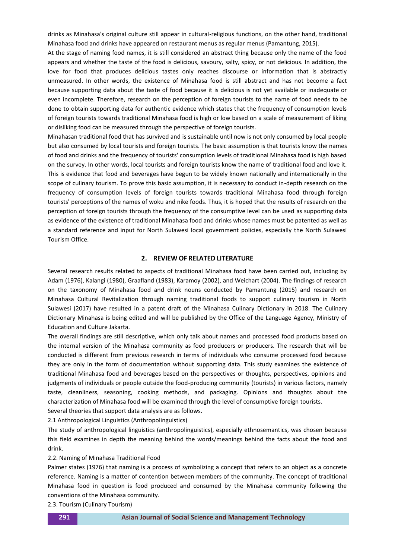drinks as Minahasa's original culture still appear in cultural-religious functions, on the other hand, traditional Minahasa food and drinks have appeared on restaurant menus as regular menus (Pamantung, 2015).

At the stage of naming food names, it is still considered an abstract thing because only the name of the food appears and whether the taste of the food is delicious, savoury, salty, spicy, or not delicious. In addition, the love for food that produces delicious tastes only reaches discourse or information that is abstractly unmeasured. In other words, the existence of Minahasa food is still abstract and has not become a fact because supporting data about the taste of food because it is delicious is not yet available or inadequate or even incomplete. Therefore, research on the perception of foreign tourists to the name of food needs to be done to obtain supporting data for authentic evidence which states that the frequency of consumption levels of foreign tourists towards traditional Minahasa food is high or low based on a scale of measurement of liking or disliking food can be measured through the perspective of foreign tourists.

Minahasan traditional food that has survived and is sustainable until now is not only consumed by local people but also consumed by local tourists and foreign tourists. The basic assumption is that tourists know the names of food and drinks and the frequency of tourists' consumption levels of traditional Minahasa food is high based on the survey. In other words, local tourists and foreign tourists know the name of traditional food and love it. This is evidence that food and beverages have begun to be widely known nationally and internationally in the scope of culinary tourism. To prove this basic assumption, it is necessary to conduct in-depth research on the frequency of consumption levels of foreign tourists towards traditional Minahasa food through foreign tourists' perceptions of the names of woku and nike foods. Thus, it is hoped that the results of research on the perception of foreign tourists through the frequency of the consumptive level can be used as supporting data as evidence of the existence of traditional Minahasa food and drinks whose names must be patented as well as a standard reference and input for North Sulawesi local government policies, especially the North Sulawesi Tourism Office.

## **2. REVIEW OF RELATED LITERATURE**

Several research results related to aspects of traditional Minahasa food have been carried out, including by Adam (1976), Kalangi (1980), Graafland (1983), Karamoy (2002), and Weichart (2004). The findings of research on the taxonomy of Minahasa food and drink nouns conducted by Pamantung (2015) and research on Minahasa Cultural Revitalization through naming traditional foods to support culinary tourism in North Sulawesi (2017) have resulted in a patent draft of the Minahasa Culinary Dictionary in 2018. The Culinary Dictionary Minahasa is being edited and will be published by the Office of the Language Agency, Ministry of Education and Culture Jakarta.

The overall findings are still descriptive, which only talk about names and processed food products based on the internal version of the Minahasa community as food producers or producers. The research that will be conducted is different from previous research in terms of individuals who consume processed food because they are only in the form of documentation without supporting data. This study examines the existence of traditional Minahasa food and beverages based on the perspectives or thoughts, perspectives, opinions and judgments of individuals or people outside the food-producing community (tourists) in various factors, namely taste, cleanliness, seasoning, cooking methods, and packaging. Opinions and thoughts about the characterization of Minahasa food will be examined through the level of consumptive foreign tourists.

Several theories that support data analysis are as follows.

2.1 Anthropological Linguistics (Anthropolinguistics)

The study of anthropological linguistics (anthropolinguistics), especially ethnosemantics, was chosen because this field examines in depth the meaning behind the words/meanings behind the facts about the food and drink.

#### 2.2. Naming of Minahasa Traditional Food

Palmer states (1976) that naming is a process of symbolizing a concept that refers to an object as a concrete reference. Naming is a matter of contention between members of the community. The concept of traditional Minahasa food in question is food produced and consumed by the Minahasa community following the conventions of the Minahasa community.

2.3. Tourism (Culinary Tourism)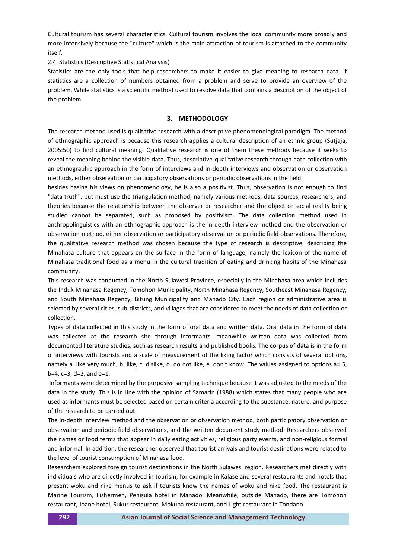Cultural tourism has several characteristics. Cultural tourism involves the local community more broadly and more intensively because the "culture" which is the main attraction of tourism is attached to the community itself.

2.4. Statistics (Descriptive Statistical Analysis)

Statistics are the only tools that help researchers to make it easier to give meaning to research data. If statistics are a collection of numbers obtained from a problem and serve to provide an overview of the problem. While statistics is a scientific method used to resolve data that contains a description of the object of the problem.

## **3. METHODOLOGY**

The research method used is qualitative research with a descriptive phenomenological paradigm. The method of ethnographic approach is because this research applies a cultural description of an ethnic group (Sutjaja, 2005:50) to find cultural meaning. Qualitative research is one of them these methods because it seeks to reveal the meaning behind the visible data. Thus, descriptive-qualitative research through data collection with an ethnographic approach in the form of interviews and in-depth interviews and observation or observation methods, either observation or participatory observations or periodic observations in the field.

besides basing his views on phenomenology, he is also a positivist. Thus, observation is not enough to find "data truth", but must use the triangulation method, namely various methods, data sources, researchers, and theories because the relationship between the observer or researcher and the object or social reality being studied cannot be separated, such as proposed by positivism. The data collection method used in anthropolinguistics with an ethnographic approach is the in-depth interview method and the observation or observation method, either observation or participatory observation or periodic field observations. Therefore, the qualitative research method was chosen because the type of research is descriptive, describing the Minahasa culture that appears on the surface in the form of language, namely the lexicon of the name of Minahasa traditional food as a menu in the cultural tradition of eating and drinking habits of the Minahasa community.

This research was conducted in the North Sulawesi Province, especially in the Minahasa area which includes the Induk Minahasa Regency, Tomohon Municipality, North Minahasa Regency, Southeast Minahasa Regency, and South Minahasa Regency, Bitung Municipality and Manado City. Each region or administrative area is selected by several cities, sub-districts, and villages that are considered to meet the needs of data collection or collection.

Types of data collected in this study in the form of oral data and written data. Oral data in the form of data was collected at the research site through informants, meanwhile written data was collected from documented literature studies, such as research results and published books. The corpus of data is in the form of interviews with tourists and a scale of measurement of the liking factor which consists of several options, namely a. like very much, b. like, c. dislike, d. do not like, e. don't know. The values assigned to options a= 5, b=4, c=3, d=2, and e=1.

Informants were determined by the purposive sampling technique because it was adjusted to the needs of the data in the study. This is in line with the opinion of Samarin (1988) which states that many people who are used as informants must be selected based on certain criteria according to the substance, nature, and purpose of the research to be carried out.

The in-depth interview method and the observation or observation method, both participatory observation or observation and periodic field observations, and the written document study method. Researchers observed the names or food terms that appear in daily eating activities, religious party events, and non-religious formal and informal. In addition, the researcher observed that tourist arrivals and tourist destinations were related to the level of tourist consumption of Minahasa food.

Researchers explored foreign tourist destinations in the North Sulawesi region. Researchers met directly with individuals who are directly involved in tourism, for example in Kalase and several restaurants and hotels that present woku and nike menus to ask if tourists know the names of woku and nike food. The restaurant is Marine Tourism, Fishermen, Penisula hotel in Manado. Meanwhile, outside Manado, there are Tomohon restaurant, Joane hotel, Sukur restaurant, Mokupa restaurant, and Light restaurant in Tondano.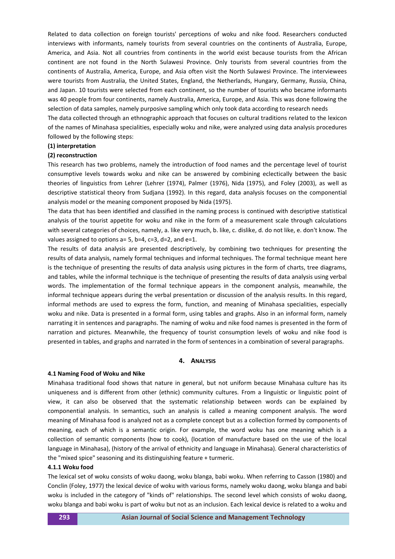Related to data collection on foreign tourists' perceptions of woku and nike food. Researchers conducted interviews with informants, namely tourists from several countries on the continents of Australia, Europe, America, and Asia. Not all countries from continents in the world exist because tourists from the African continent are not found in the North Sulawesi Province. Only tourists from several countries from the continents of Australia, America, Europe, and Asia often visit the North Sulawesi Province. The interviewees were tourists from Australia, the United States, England, the Netherlands, Hungary, Germany, Russia, China, and Japan. 10 tourists were selected from each continent, so the number of tourists who became informants was 40 people from four continents, namely Australia, America, Europe, and Asia. This was done following the selection of data samples, namely purposive sampling which only took data according to research needs

The data collected through an ethnographic approach that focuses on cultural traditions related to the lexicon of the names of Minahasa specialities, especially woku and nike, were analyzed using data analysis procedures followed by the following steps:

#### **(1) interpretation**

# **(2) reconstruction**

This research has two problems, namely the introduction of food names and the percentage level of tourist consumptive levels towards woku and nike can be answered by combining eclectically between the basic theories of linguistics from Lehrer (Lehrer (1974), Palmer (1976), Nida (1975), and Foley (2003), as well as descriptive statistical theory from Sudjana (1992). In this regard, data analysis focuses on the componential analysis model or the meaning component proposed by Nida (1975).

The data that has been identified and classified in the naming process is continued with descriptive statistical analysis of the tourist appetite for woku and nike in the form of a measurement scale through calculations with several categories of choices, namely, a. like very much, b. like, c. dislike, d. do not like, e. don't know. The values assigned to options  $a=5$ ,  $b=4$ ,  $c=3$ ,  $d=2$ , and  $e=1$ .

The results of data analysis are presented descriptively, by combining two techniques for presenting the results of data analysis, namely formal techniques and informal techniques. The formal technique meant here is the technique of presenting the results of data analysis using pictures in the form of charts, tree diagrams, and tables, while the informal technique is the technique of presenting the results of data analysis using verbal words. The implementation of the formal technique appears in the component analysis, meanwhile, the informal technique appears during the verbal presentation or discussion of the analysis results. In this regard, informal methods are used to express the form, function, and meaning of Minahasa specialities, especially woku and nike. Data is presented in a formal form, using tables and graphs. Also in an informal form, namely narrating it in sentences and paragraphs. The naming of woku and nike food names is presented in the form of narration and pictures. Meanwhile, the frequency of tourist consumption levels of woku and nike food is presented in tables, and graphs and narrated in the form of sentences in a combination of several paragraphs.

#### **4. ANALYSIS**

#### **4.1 Naming Food of Woku and Nike**

Minahasa traditional food shows that nature in general, but not uniform because Minahasa culture has its uniqueness and is different from other (ethnic) community cultures. From a linguistic or linguistic point of view, it can also be observed that the systematic relationship between words can be explained by componential analysis. In semantics, such an analysis is called a meaning component analysis. The word meaning of Minahasa food is analyzed not as a complete concept but as a collection formed by components of meaning, each of which is a semantic origin. For example, the word woku has one meaning which is a collection of semantic components (how to cook), (location of manufacture based on the use of the local language in Minahasa), (history of the arrival of ethnicity and language in Minahasa). General characteristics of the "mixed spice" seasoning and its distinguishing feature + turmeric.

## **4.1.1 Woku food**

The lexical set of woku consists of woku daong, woku blanga, babi woku. When referring to Casson (1980) and Conclin (Foley, 1977) the lexical device of woku with various forms, namely woku daong, woku blanga and babi woku is included in the category of "kinds of" relationships. The second level which consists of woku daong, woku blanga and babi woku is part of woku but not as an inclusion. Each lexical device is related to a woku and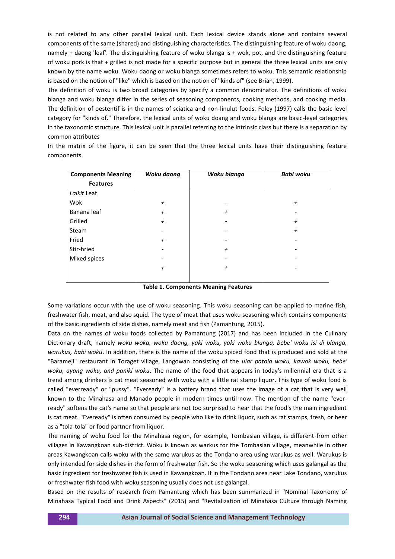is not related to any other parallel lexical unit. Each lexical device stands alone and contains several components of the same (shared) and distinguishing characteristics. The distinguishing feature of woku daong, namely + daong 'leaf'. The distinguishing feature of woku blanga is + wok, pot, and the distinguishing feature of woku pork is that + grilled is not made for a specific purpose but in general the three lexical units are only known by the name woku. Woku daong or woku blanga sometimes refers to woku. This semantic relationship is based on the notion of "like" which is based on the notion of "kinds of" (see Brian, 1999).

The definition of woku is two broad categories by specify a common denominator. The definitions of woku blanga and woku blanga differ in the series of seasoning components, cooking methods, and cooking media. The definition of oestentif is in the names of sciatica and non-linulut foods. Foley (1997) calls the basic level category for "kinds of." Therefore, the lexical units of woku doang and woku blanga are basic-level categories in the taxonomic structure. This lexical unit is parallel referring to the intrinsic class but there is a separation by common attributes

In the matrix of the figure, it can be seen that the three lexical units have their distinguishing feature components.

| <b>Components Meaning</b> | Woku daong     | Woku blanga    | <b>Babi woku</b> |
|---------------------------|----------------|----------------|------------------|
| <b>Features</b>           |                |                |                  |
| Laikit Leaf               |                |                |                  |
| Wok                       | $\overline{+}$ |                | $\overline{+}$   |
| Banana leaf               | $\overline{+}$ | $\overline{+}$ |                  |
| Grilled                   | $\overline{+}$ |                | $\overline{+}$   |
| Steam                     |                |                | $\overline{+}$   |
| Fried                     | $\overline{+}$ |                |                  |
| Stir-hried                |                | $\overline{+}$ |                  |
| Mixed spices              |                |                |                  |
|                           | $\pmb{+}$      | $\overline{+}$ |                  |
|                           |                |                |                  |

**Table 1. Components Meaning Features**

Some variations occur with the use of woku seasoning. This woku seasoning can be applied to marine fish, freshwater fish, meat, and also squid. The type of meat that uses woku seasoning which contains components of the basic ingredients of side dishes, namely meat and fish (Pamantung, 2015).

Data on the names of woku foods collected by Pamantung (2017) and has been included in the Culinary Dictionary draft, namely *woku woka, woku daong, yaki woku, yaki woku blanga, bebe' woku isi di blanga, warukus, babi woku*. In addition, there is the name of the woku spiced food that is produced and sold at the "Barameji" restaurant in Toraget village, Langowan consisting of the *ular patola woku, kawok woku, bebe' woku, ayang woku, and paniki woku*. The name of the food that appears in today's millennial era that is a trend among drinkers is cat meat seasoned with woku with a little rat stamp liquor. This type of woku food is called "everready" or "pussy". "Eveready" is a battery brand that uses the image of a cat that is very well known to the Minahasa and Manado people in modern times until now. The mention of the name "everready" softens the cat's name so that people are not too surprised to hear that the food's the main ingredient is cat meat. "Eveready" is often consumed by people who like to drink liquor, such as rat stamps, fresh, or beer as a "tola-tola" or food partner from liquor.

The naming of woku food for the Minahasa region, for example, Tombasian village, is different from other villages in Kawangkoan sub-district. Woku is known as warkus for the Tombasian village, meanwhile in other areas Kawangkoan calls woku with the same warukus as the Tondano area using warukus as well. Warukus is only intended for side dishes in the form of freshwater fish. So the woku seasoning which uses galangal as the basic ingredient for freshwater fish is used in Kawangkoan. If in the Tondano area near Lake Tondano, warukus or freshwater fish food with woku seasoning usually does not use galangal.

Based on the results of research from Pamantung which has been summarized in "Nominal Taxonomy of Minahasa Typical Food and Drink Aspects" (2015) and "Revitalization of Minahasa Culture through Naming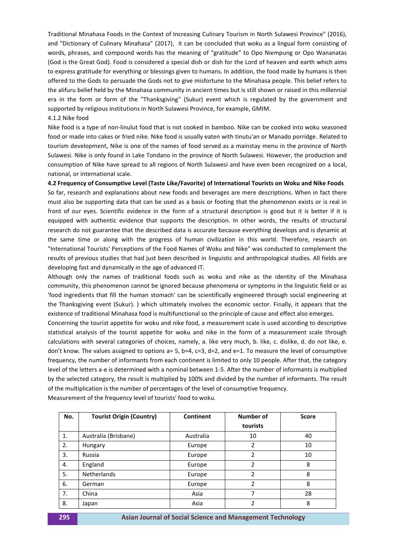Traditional Minahasa Foods in the Context of Increasing Culinary Tourism in North Sulawesi Province" (2016), and "Dictionary of Culinary Minahasa" (2017), it can be concluded that woku as a lingual form consisting of words, phrases, and compound words has the meaning of "gratitude" to Opo Niempung or Opo Wananatas (God is the Great God). Food is considered a special dish or dish for the Lord of heaven and earth which aims to express gratitude for everything or blessings given to humans. In addition, the food made by humans is then offered to the Gods to persuade the Gods not to give misfortune to the Minahasa people. This belief refers to the alifuru belief held by the Minahasa community in ancient times but is still shown or raised in this millennial era in the form or form of the "Thanksgiving" (Sukur) event which is regulated by the government and supported by religious institutions in North Sulawesi Province, for example, GMIM.

## 4.1.2 Nike food

Nike food is a type of non-linulut food that is not cooked in bamboo. Nike can be cooked into woku seasoned food or made into cakes or fried nike. Nike food is usually eaten with tinutu'an or Manado porridge. Related to tourism development, Nike is one of the names of food served as a mainstay menu in the province of North Sulawesi. Nike is only found in Lake Tondano in the province of North Sulawesi. However, the production and consumption of Nike have spread to all regions of North Sulawesi and have even been recognized on a local, national, or international scale.

**4.2 Frequency of Consumptive Level (Taste Like/Favorite) of International Tourists on Woku and Nike Foods**

So far, research and explanations about new foods and beverages are mere descriptions. When in fact there must also be supporting data that can be used as a basis or footing that the phenomenon exists or is real in front of our eyes. Scientific evidence in the form of a structural description is good but it is better if it is equipped with authentic evidence that supports the description. In other words, the results of structural research do not guarantee that the described data is accurate because everything develops and is dynamic at the same time or along with the progress of human civilization in this world. Therefore, research on "International Tourists' Perceptions of the Food Names of Woku and Nike" was conducted to complement the results of previous studies that had just been described in linguistic and anthropological studies. All fields are developing fast and dynamically in the age of advanced IT.

Although only the names of traditional foods such as woku and nike as the identity of the Minahasa community, this phenomenon cannot be ignored because phenomena or symptoms in the linguistic field or as 'food ingredients that fill the human stomach' can be scientifically engineered through social engineering at the Thanksgiving event (Sukur). ) which ultimately involves the economic sector. Finally, it appears that the existence of traditional Minahasa food is multifunctional so the principle of cause and effect also emerges.

Concerning the tourist appetite for woku and nike food, a measurement scale is used according to descriptive statistical analysis of the tourist appetite for woku and nike in the form of a measurement scale through calculations with several categories of choices, namely, a. like very much, b. like, c. dislike, d. do not like, e. don't know. The values assigned to options a= 5, b=4, c=3, d=2, and e=1. To measure the level of consumptive frequency, the number of informants from each continent is limited to only 10 people. After that, the category level of the letters a-e is determined with a nominal between 1-5. After the number of informants is multiplied by the selected category, the result is multiplied by 100% and divided by the number of informants. The result of the multiplication is the number of percentages of the level of consumptive frequency.

| No. | <b>Tourist Origin (Country)</b> | Continent | Number of | <b>Score</b> |
|-----|---------------------------------|-----------|-----------|--------------|
|     |                                 |           | tourists  |              |
| 1.  | Australia (Brisbane)            | Australia | 10        | 40           |
| 2.  | Hungary                         | Europe    | 2         | 10           |
| 3.  | Russia                          | Europe    | 2         | 10           |
| 4.  | England                         | Europe    | 2         | 8            |
| 5.  | <b>Netherlands</b>              | Europe    | 2         | 8            |
| 6.  | German                          | Europe    | 2         | 8            |
| 7.  | China                           | Asia      | 7         | 28           |
| 8.  | Japan                           | Asia      | 2         | 8            |

Measurement of the frequency level of tourists' food to woku.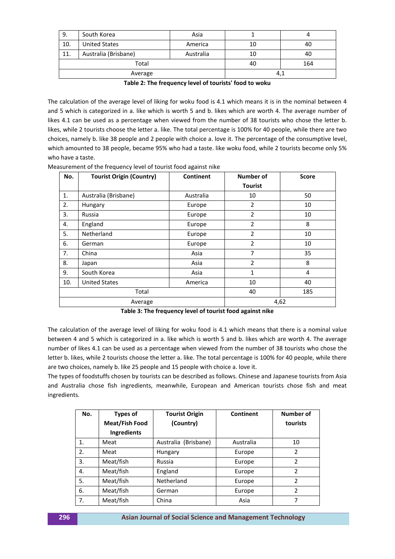| 9.      | South Korea          | Asia      |    |     |
|---------|----------------------|-----------|----|-----|
| 10.     | <b>United States</b> | America   | 10 | 40  |
| 11.     | Australia (Brisbane) | Australia | 10 | 40  |
| Total   |                      |           | 40 | 164 |
| Average |                      | 4,1       |    |     |

The calculation of the average level of liking for woku food is 4.1 which means it is in the nominal between 4 and 5 which is categorized in a. like which is worth 5 and b. likes which are worth 4. The average number of likes 4.1 can be used as a percentage when viewed from the number of 38 tourists who chose the letter b. likes, while 2 tourists choose the letter a. like. The total percentage is 100% for 40 people, while there are two choices, namely b. like 38 people and 2 people with choice a. love it. The percentage of the consumptive level, which amounted to 38 people, became 95% who had a taste. like woku food, while 2 tourists become only 5% who have a taste.

| No.     | <b>Tourist Origin (Country)</b> | Continent | Number of      | <b>Score</b> |
|---------|---------------------------------|-----------|----------------|--------------|
|         |                                 |           | <b>Tourist</b> |              |
| 1.      | Australia (Brisbane)            | Australia | 10             | 50           |
| 2.      | Hungary                         | Europe    | $\overline{2}$ | 10           |
| 3.      | Russia                          | Europe    | 2              | 10           |
| 4.      | England                         | Europe    | $\overline{2}$ | 8            |
| 5.      | Netherland                      | Europe    | $\overline{2}$ | 10           |
| 6.      | German                          | Europe    | $\overline{2}$ | 10           |
| 7.      | China                           | Asia      | 7              | 35           |
| 8.      | Japan                           | Asia      | $\overline{2}$ | 8            |
| 9.      | South Korea                     | Asia      | $\mathbf{1}$   | 4            |
| 10.     | <b>United States</b>            | America   | 10             | 40           |
| Total   |                                 |           | 40             | 185          |
| Average |                                 | 4,62      |                |              |

Measurement of the frequency level of tourist food against nike

**Table 3: The frequency level of tourist food against nike**

The calculation of the average level of liking for woku food is 4.1 which means that there is a nominal value between 4 and 5 which is categorized in a. like which is worth 5 and b. likes which are worth 4. The average number of likes 4.1 can be used as a percentage when viewed from the number of 38 tourists who chose the letter b. likes, while 2 tourists choose the letter a. like. The total percentage is 100% for 40 people, while there are two choices, namely b. like 25 people and 15 people with choice a. love it.

The types of foodstuffs chosen by tourists can be described as follows. Chinese and Japanese tourists from Asia and Australia chose fish ingredients, meanwhile, European and American tourists chose fish and meat ingredients.

| No. | <b>Types of</b> | <b>Tourist Origin</b>   | Continent | Number of      |
|-----|-----------------|-------------------------|-----------|----------------|
|     | Meat/Fish Food  | (Country)               |           | tourists       |
|     | Ingredients     |                         |           |                |
| 1.  | Meat            | (Brisbane)<br>Australia | Australia | 10             |
| 2.  | Meat            | Hungary                 | Europe    | 2              |
| 3.  | Meat/fish       | Russia                  | Europe    | $\mathfrak{p}$ |
| 4.  | Meat/fish       | England                 | Europe    | $\mathfrak{p}$ |
| 5.  | Meat/fish       | Netherland              | Europe    | $\overline{2}$ |
| 6.  | Meat/fish       | German                  | Europe    | 2              |
| 7.  | Meat/fish       | China                   | Asia      | 7              |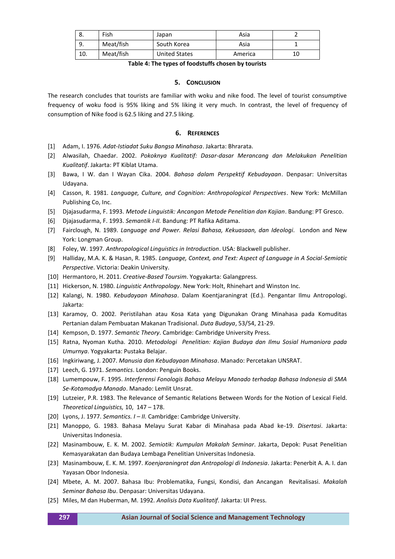| ٥.  | Fish      | Japan                | Asia    |    |
|-----|-----------|----------------------|---------|----|
| 9.  | Meat/fish | South Korea          | Asia    |    |
| 10. | Meat/fish | <b>United States</b> | America | 10 |

**Table 4: The types of foodstuffs chosen by tourists**

## **5. CONCLUSION**

The research concludes that tourists are familiar with woku and nike food. The level of tourist consumptive frequency of woku food is 95% liking and 5% liking it very much. In contrast, the level of frequency of consumption of Nike food is 62.5 liking and 27.5 liking.

# **6. REFERENCES**

- [1] Adam, I. 1976. *Adat-Istiadat Suku Bangsa Minahasa*. Jakarta: Bhrarata.
- [2] Alwasilah, Chaedar. 2002. *Pokoknya Kualitatif: Dasar-dasar Merancang dan Melakukan Penelitian Kualitatif*. Jakarta: PT Kiblat Utama.
- [3] Bawa, I W. dan I Wayan Cika. 2004. *Bahasa dalam Perspektif Kebudayaan*. Denpasar: Universitas Udayana.
- [4] Casson, R. 1981. *Language, Culture, and Cognition: Anthropological Perspectives*. New York: McMillan Publishing Co, Inc.
- [5] Djajasudarma, F. 1993. *Metode Linguistik: Ancangan Metode Penelitian dan Kajian*. Bandung: PT Gresco.
- [6] Djajasudarma, F. 1993. *Semantik I-II.* Bandung: PT Rafika Aditama.
- [7] Fairclough, N. 1989. *Language and Power. Relasi Bahasa, Kekuasaan, dan Ideologi*. London and New York: Longman Group.
- [8] Foley, W. 1997. *Anthropological Linguistics in Introduction*. USA: Blackwell publisher.
- [9] Halliday, M.A. K. & Hasan, R. 1985. *Language, Context, and Text: Aspect of Language in A Social-Semiotic Perspective*. Victoria: Deakin University.
- [10] Hermantoro, H. 2011. *Creative-Based Toursim*. Yogyakarta: Galangpress.
- [11] Hickerson, N. 1980. *Linguistic Anthropology*. New York: Holt, Rhinehart and Winston Inc.
- [12] Kalangi, N. 1980. *Kebudayaan Minahasa*. Dalam Koentjaraningrat (Ed.). Pengantar Ilmu Antropologi. Jakarta:
- [13] Karamoy, O. 2002. Peristilahan atau Kosa Kata yang Digunakan Orang Minahasa pada Komuditas Pertanian dalam Pembuatan Makanan Tradisional. *Duta Budaya*, 53/54, 21-29.
- [14] Kempson, D. 1977. *Semantic Theory*. Cambridge: Cambridge University Press.
- [15] Ratna, Nyoman Kutha. 2010. *Metodologi Penelitian: Kajian Budaya dan Ilmu Sosial Humaniora pada Umurnya*. Yogyakarta: Pustaka Belajar.
- [16] Ingkiriwang, J. 2007. *Manusia dan Kebudayaan Minahasa*. Manado: Percetakan UNSRAT.
- [17] Leech, G. 1971. *Semantics*. London: Penguin Books.
- [18] Lumempouw, F. 1995. *Interferensi Fonologis Bahasa Melayu Manado terhadap Bahasa Indonesia di SMA Se-Kotamadya Manado*. Manado: Lemlit Unsrat.
- [19] Lutzeier, P.R. 1983. The Relevance of Semantic Relations Between Words for the Notion of Lexical Field. *Theoretical Linguistics,* 10, 147 – 178.
- [20] Lyons, J. 1977. *Semantics. I II.* Cambridge: Cambridge University.
- [21] Manoppo, G. 1983. Bahasa Melayu Surat Kabar di Minahasa pada Abad ke-19. *Disertasi*. Jakarta: Universitas Indonesia.
- [22] Masinambouw, E. K. M. 2002. *Semiotik: Kumpulan Makalah Seminar*. Jakarta, Depok: Pusat Penelitian Kemasyarakatan dan Budaya Lembaga Penelitian Universitas Indonesia.
- [23] Masinambouw, E. K. M. 1997. *Koenjaraningrat dan Antropologi di Indonesia*. Jakarta: Penerbit A. A. I. dan Yayasan Obor Indonesia.
- [24] Mbete, A. M. 2007. Bahasa Ibu: Problematika, Fungsi, Kondisi, dan Ancangan Revitalisasi. *Makalah Seminar Bahasa Ibu*. Denpasar: Universitas Udayana.
- [25] Miles, M dan Huberman, M. 1992. *Analisis Data Kualitatif*. Jakarta: UI Press.